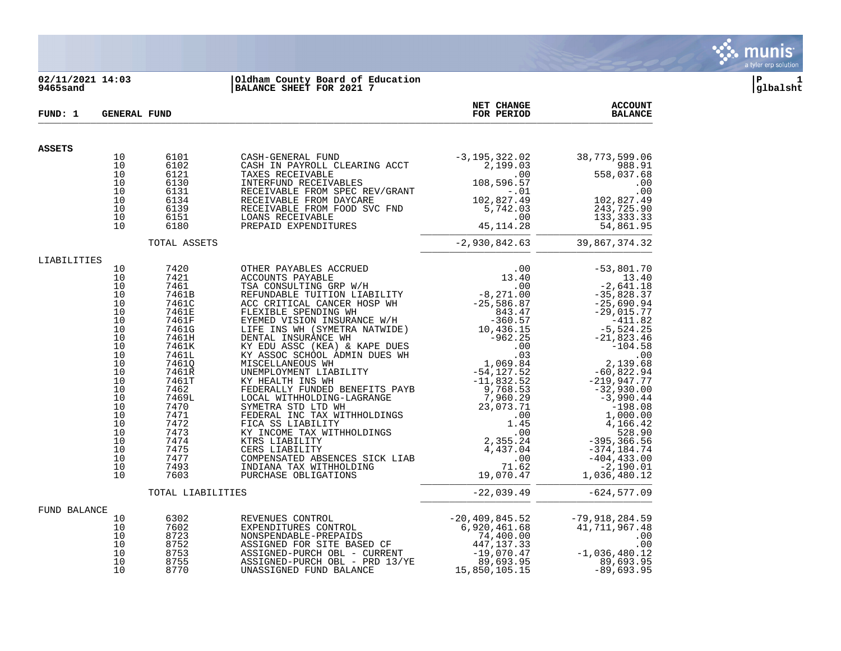

# **02/11/2021 14:03 |Oldham County Board of Education |P 1 9465sand |BALANCE SHEET FOR 2021 7 |glbalsht**

| FUND: 1       | <b>GENERAL FUND</b> |                   |                                                                                                                                                                                                                                        | NET CHANGE<br>FOR PERIOD | <b>ACCOUNT</b><br><b>BALANCE</b>                                      |
|---------------|---------------------|-------------------|----------------------------------------------------------------------------------------------------------------------------------------------------------------------------------------------------------------------------------------|--------------------------|-----------------------------------------------------------------------|
| <b>ASSETS</b> |                     |                   |                                                                                                                                                                                                                                        |                          |                                                                       |
|               | 10                  | 6101              |                                                                                                                                                                                                                                        |                          | 38,773,599.06                                                         |
|               | 10                  | 6102              |                                                                                                                                                                                                                                        |                          | 988.91                                                                |
|               | 10                  | 6121              |                                                                                                                                                                                                                                        |                          | 558,037.68                                                            |
|               | 10<br>10            | 6130              |                                                                                                                                                                                                                                        |                          | .00<br>.00                                                            |
|               | 10                  | 6131<br>6134      |                                                                                                                                                                                                                                        |                          | 102,827.49                                                            |
|               | 10                  | 6139              |                                                                                                                                                                                                                                        |                          | 243,725.90                                                            |
|               | 10                  | 6151              | LOANS RECEIVABLE                                                                                                                                                                                                                       |                          | 133, 333.33                                                           |
|               | 10                  | 6180              | PREPAID EXPENDITURES                                                                                                                                                                                                                   |                          | 54,861.95                                                             |
|               |                     | TOTAL ASSETS      |                                                                                                                                                                                                                                        | $-2,930,842.63$          | 39,867,374.32                                                         |
| LIABILITIES   |                     |                   |                                                                                                                                                                                                                                        |                          |                                                                       |
|               | 10                  | 7420              |                                                                                                                                                                                                                                        |                          | $-7,801.$<br>$-2,641.18$<br>$-35,828.3$<br>$-25,60$<br>$-25$<br>$-25$ |
|               | 10<br>10            | 7421              |                                                                                                                                                                                                                                        |                          |                                                                       |
|               | 10                  | 7461<br>7461B     |                                                                                                                                                                                                                                        |                          |                                                                       |
|               | 10                  | 7461C             |                                                                                                                                                                                                                                        |                          |                                                                       |
|               | 10                  | 7461E             |                                                                                                                                                                                                                                        |                          |                                                                       |
|               | 10                  | 7461F             |                                                                                                                                                                                                                                        |                          |                                                                       |
|               | 10                  | 7461G             |                                                                                                                                                                                                                                        |                          |                                                                       |
|               | 10                  | 7461H             |                                                                                                                                                                                                                                        |                          |                                                                       |
|               | 10<br>10            | 7461K             |                                                                                                                                                                                                                                        |                          |                                                                       |
|               | 10                  | 7461L<br>74610    |                                                                                                                                                                                                                                        |                          |                                                                       |
|               | 10                  | 7461R             |                                                                                                                                                                                                                                        |                          |                                                                       |
|               | 10                  | 7461T             |                                                                                                                                                                                                                                        |                          |                                                                       |
|               | 10                  | 7462              |                                                                                                                                                                                                                                        |                          | $-32,930.00$                                                          |
|               | 10                  | 7469L             |                                                                                                                                                                                                                                        |                          |                                                                       |
|               | 10                  | 7470              |                                                                                                                                                                                                                                        |                          |                                                                       |
|               | 10                  | 7471              |                                                                                                                                                                                                                                        |                          |                                                                       |
|               | 10<br>10            | 7472<br>7473      |                                                                                                                                                                                                                                        |                          | 4,166.42                                                              |
|               | 10                  | 7474              |                                                                                                                                                                                                                                        |                          |                                                                       |
|               | 10                  | 7475              |                                                                                                                                                                                                                                        |                          |                                                                       |
|               | 10                  | 7477              |                                                                                                                                                                                                                                        |                          |                                                                       |
|               | 10                  | 7493              |                                                                                                                                                                                                                                        |                          |                                                                       |
|               | 10                  | 7603              |                                                                                                                                                                                                                                        |                          |                                                                       |
|               |                     | TOTAL LIABILITIES |                                                                                                                                                                                                                                        |                          | $-22,039.49$ $-624,577.09$                                            |
| FUND BALANCE  |                     |                   | REVENUES CONTROL<br>EXPENDITURES CONTROL -20,409,845.52 -79,918,284.55<br>NONSPENDABLE-PREPAIDS 74,400.00 -00<br>ASSIGNED-PURCH OBL - CURRENT 41,717,967.48<br>ASSIGNED-PURCH OBL - CURRENT -19,070.47 -1,036,480.12<br>ASSIGNED-PURCH |                          |                                                                       |
|               | 10                  | 6302              |                                                                                                                                                                                                                                        |                          |                                                                       |
|               | 10                  | 7602              |                                                                                                                                                                                                                                        |                          |                                                                       |
|               | 10<br>10            | 8723              |                                                                                                                                                                                                                                        |                          |                                                                       |
|               | 10                  | 8752<br>8753      |                                                                                                                                                                                                                                        |                          |                                                                       |
|               | 10                  | 8755              |                                                                                                                                                                                                                                        |                          |                                                                       |
|               | 10                  | 8770              |                                                                                                                                                                                                                                        |                          |                                                                       |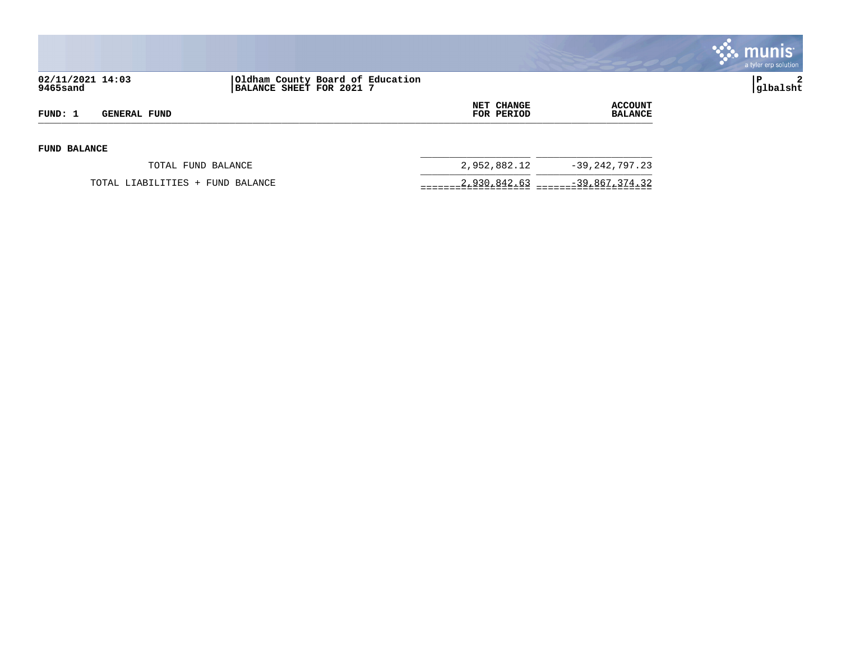

| 02/11/2021 14:03<br>9465sand |                                  | Oldham County Board of Education<br>BALANCE SHEET FOR 2021 7 |                                 |                           | $\overline{2}$<br> glbalsht |
|------------------------------|----------------------------------|--------------------------------------------------------------|---------------------------------|---------------------------|-----------------------------|
| FUND: 1                      | <b>GENERAL FUND</b>              |                                                              | <b>NET CHANGE</b><br>FOR PERIOD | ACCOUNT<br><b>BALANCE</b> |                             |
| <b>FUND BALANCE</b>          |                                  |                                                              |                                 |                           |                             |
|                              | TOTAL FUND BALANCE               |                                                              | 2,952,882.12                    | $-39, 242, 797.23$        |                             |
|                              | TOTAL LIABILITIES + FUND BALANCE |                                                              | 2,930,842.63                    | -39,867,374.32            |                             |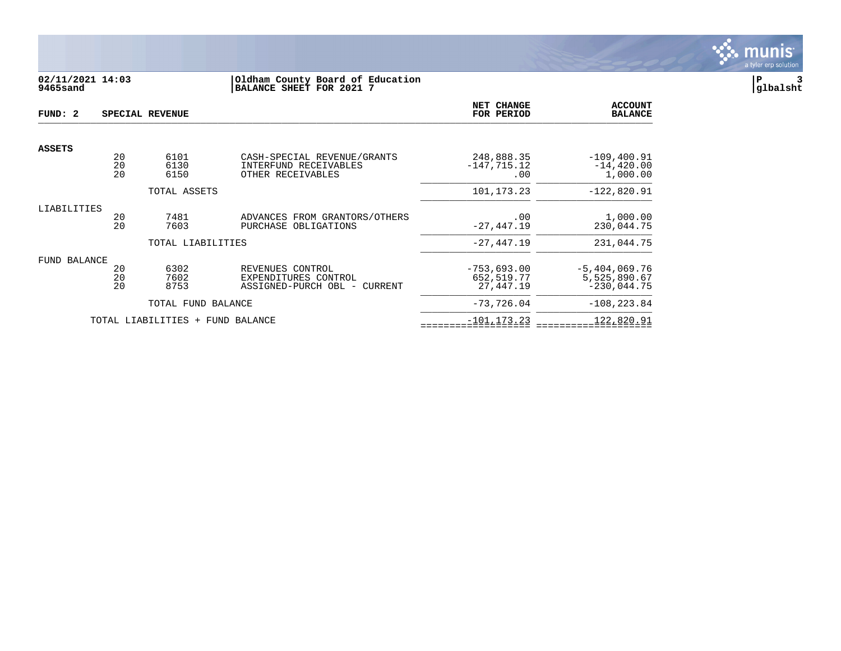

# **02/11/2021 14:03 |Oldham County Board of Education |P 3 9465sand |BALANCE SHEET FOR 2021 7 |glbalsht**

| FUND: 2       |                | SPECIAL REVENUE                  |                                                                                     | NET CHANGE<br>FOR PERIOD                    | <b>ACCOUNT</b><br><b>BALANCE</b>                 |
|---------------|----------------|----------------------------------|-------------------------------------------------------------------------------------|---------------------------------------------|--------------------------------------------------|
|               |                |                                  |                                                                                     |                                             |                                                  |
| <b>ASSETS</b> | 20<br>20<br>20 | 6101<br>6130<br>6150             | CASH-SPECIAL REVENUE/GRANTS<br>INTERFUND RECEIVABLES<br>OTHER RECEIVABLES           | 248,888.35<br>$-147, 715.12$<br>.00         | $-109, 400.91$<br>$-14, 420.00$<br>1,000.00      |
|               |                | TOTAL ASSETS                     |                                                                                     | 101, 173. 23                                | $-122,820.91$                                    |
| LIABILITIES   | 20<br>2.0      | 7481<br>7603                     | ADVANCES FROM GRANTORS/OTHERS<br>PURCHASE<br>OBLIGATIONS                            | .00<br>$-27, 447.19$                        | 1,000.00<br>230,044.75                           |
|               |                | TOTAL LIABILITIES                |                                                                                     | $-27,447.19$                                | 231,044.75                                       |
| FUND BALANCE  | 20<br>20<br>20 | 6302<br>7602<br>8753             | REVENUES CONTROL<br>EXPENDITURES CONTROL<br>ASSIGNED-PURCH OBL<br>CURRENT<br>$\sim$ | $-753.693.00$<br>652, 519.77<br>27, 447. 19 | $-5,404,069.76$<br>5,525,890.67<br>$-230,044.75$ |
|               |                | TOTAL FUND BALANCE               |                                                                                     | $-73, 726.04$                               | $-108, 223.84$                                   |
|               |                | TOTAL LIABILITIES + FUND BALANCE |                                                                                     | $-101, 173.23$                              | 122,820.91                                       |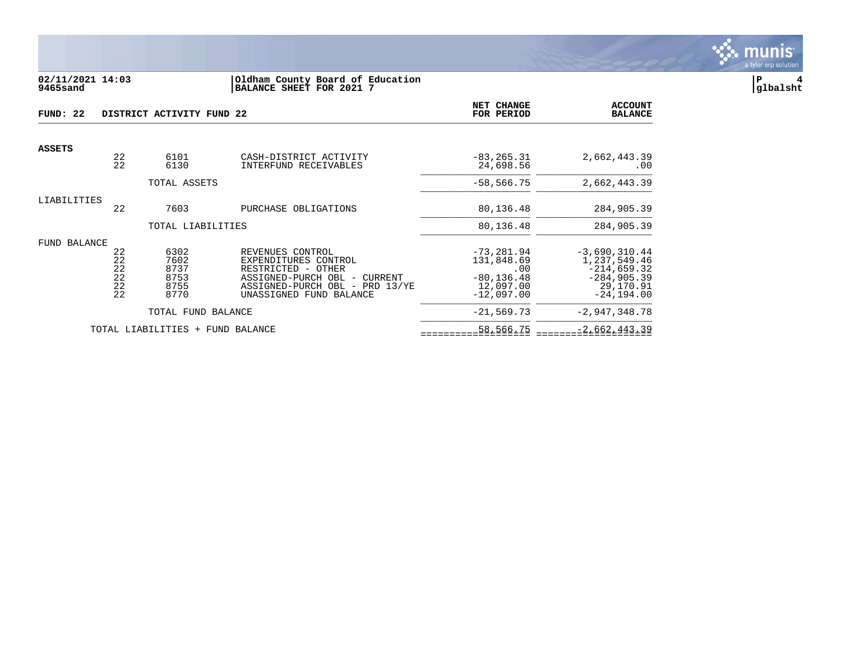

### **02/11/2021 14:03 |Oldham County Board of Education |P 4 9465sand |BALANCE SHEET FOR 2021 7 |glbalsht**

| FUND: 22            |                                  | DISTRICT ACTIVITY FUND 22                    |                                                                                                                                                                   | NET CHANGE<br>FOR PERIOD                                                         | <b>ACCOUNT</b><br><b>BALANCE</b>                                                                |
|---------------------|----------------------------------|----------------------------------------------|-------------------------------------------------------------------------------------------------------------------------------------------------------------------|----------------------------------------------------------------------------------|-------------------------------------------------------------------------------------------------|
| <b>ASSETS</b>       |                                  |                                              |                                                                                                                                                                   |                                                                                  |                                                                                                 |
|                     | 22<br>22                         | 6101<br>6130                                 | CASH-DISTRICT ACTIVITY<br>INTERFUND RECEIVABLES                                                                                                                   | $-83, 265.31$<br>24,698.56                                                       | 2,662,443.39<br>$.00 \,$                                                                        |
|                     |                                  | TOTAL ASSETS                                 |                                                                                                                                                                   | $-58, 566.75$                                                                    | 2,662,443.39                                                                                    |
| LIABILITIES         | 22                               | 7603                                         | PURCHASE OBLIGATIONS                                                                                                                                              | 80,136.48                                                                        | 284,905.39                                                                                      |
|                     |                                  | TOTAL LIABILITIES                            |                                                                                                                                                                   | 80,136.48                                                                        | 284,905.39                                                                                      |
| <b>FUND BALANCE</b> | 22<br>22<br>22<br>22<br>22<br>22 | 6302<br>7602<br>8737<br>8753<br>8755<br>8770 | REVENUES CONTROL<br>EXPENDITURES CONTROL<br>RESTRICTED - OTHER<br>ASSIGNED-PURCH OBL -<br>CURRENT<br>ASSIGNED-PURCH OBL -<br>PRD 13/YE<br>UNASSIGNED FUND BALANCE | $-73, 281.94$<br>131,848.69<br>.00<br>$-80, 136.48$<br>12,097.00<br>$-12,097.00$ | $-3,690,310.44$<br>1,237,549.46<br>$-214,659.32$<br>$-284,905.39$<br>29,170.91<br>$-24, 194.00$ |
|                     |                                  | TOTAL FUND BALANCE                           |                                                                                                                                                                   | $-21,569.73$                                                                     | $-2,947,348.78$                                                                                 |
|                     |                                  | TOTAL LIABILITIES<br>$+$                     | FUND BALANCE                                                                                                                                                      | 58,566.75                                                                        | $-2,662,443.39$                                                                                 |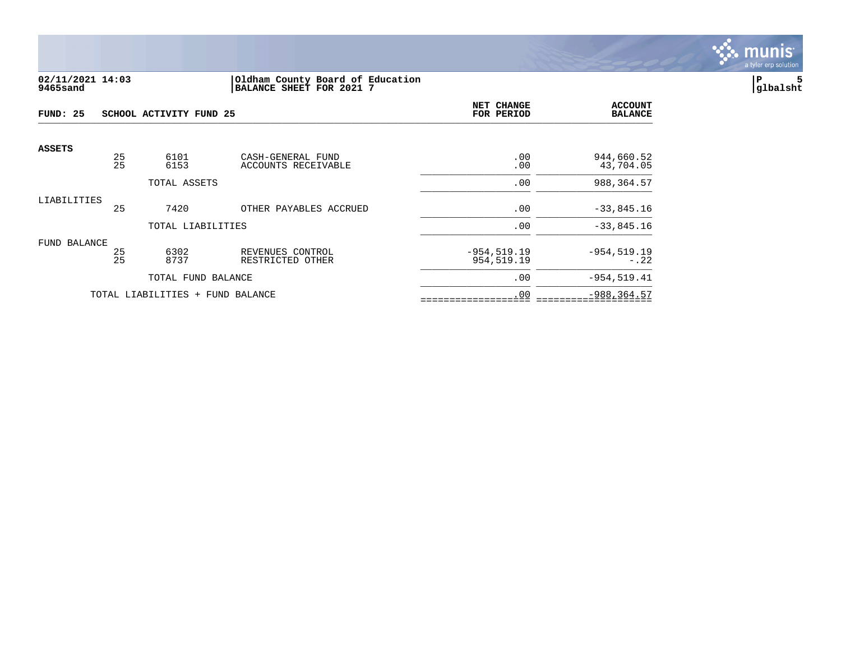

### **02/11/2021 14:03 |Oldham County Board of Education |P 5 9465sand |BALANCE SHEET FOR 2021 7 |glbalsht**

| FUND: 25      |          | SCHOOL ACTIVITY FUND 25          |                                          | NET CHANGE<br>FOR PERIOD     | <b>ACCOUNT</b><br><b>BALANCE</b> |
|---------------|----------|----------------------------------|------------------------------------------|------------------------------|----------------------------------|
| <b>ASSETS</b> | 25<br>25 | 6101<br>6153                     | CASH-GENERAL FUND<br>ACCOUNTS RECEIVABLE | .00<br>.00                   | 944,660.52<br>43,704.05          |
|               |          | TOTAL ASSETS                     |                                          | .00                          | 988, 364.57                      |
| LIABILITIES   | 25       | 7420                             | OTHER PAYABLES ACCRUED                   | .00                          | $-33,845.16$                     |
|               |          | TOTAL LIABILITIES                |                                          | .00                          | $-33,845.16$                     |
| FUND BALANCE  |          |                                  |                                          |                              |                                  |
|               | 25<br>25 | 6302<br>8737                     | REVENUES CONTROL<br>RESTRICTED OTHER     | $-954, 519.19$<br>954,519.19 | $-954, 519.19$<br>$-.22$         |
|               |          | TOTAL FUND BALANCE               |                                          | .00                          | $-954, 519.41$                   |
|               |          | TOTAL LIABILITIES + FUND BALANCE |                                          | .00                          | $-988, 364.57$                   |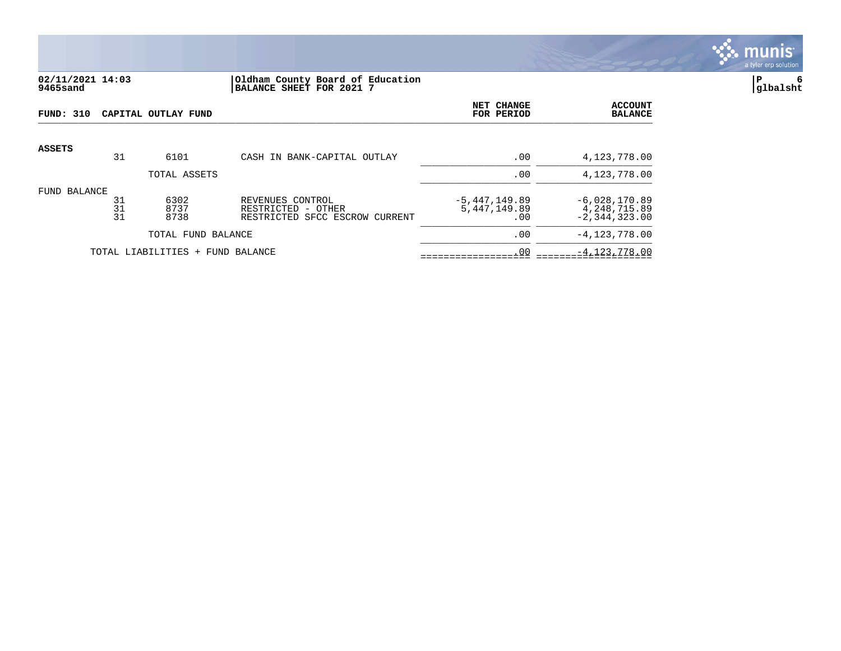

# **02/11/2021 14:03 |Oldham County Board of Education |P 6 9465sand |BALANCE SHEET FOR 2021 7 |glbalsht**

| <b>FUND: 310</b>                 |                | CAPITAL OUTLAY FUND  | NET CHANGE<br>FOR PERIOD                                                 | <b>ACCOUNT</b><br><b>BALANCE</b>          |                                                        |
|----------------------------------|----------------|----------------------|--------------------------------------------------------------------------|-------------------------------------------|--------------------------------------------------------|
| <b>ASSETS</b>                    | 31             | 6101                 | CASH IN BANK-CAPITAL OUTLAY                                              | .00                                       | 4,123,778.00                                           |
|                                  |                | TOTAL ASSETS         |                                                                          | .00                                       | 4,123,778.00                                           |
| FUND BALANCE                     | 31<br>31<br>31 | 6302<br>8737<br>8738 | REVENUES CONTROL<br>RESTRICTED - OTHER<br>RESTRICTED SFCC ESCROW CURRENT | $-5,447,149.89$<br>5, 447, 149, 89<br>.00 | $-6,028,170.89$<br>4, 248, 715.89<br>$-2, 344, 323.00$ |
| TOTAL FUND BALANCE               |                |                      |                                                                          | .00                                       | $-4, 123, 778.00$                                      |
| TOTAL LIABILITIES + FUND BALANCE |                |                      | .00                                                                      | $-4, 123, 778.00$                         |                                                        |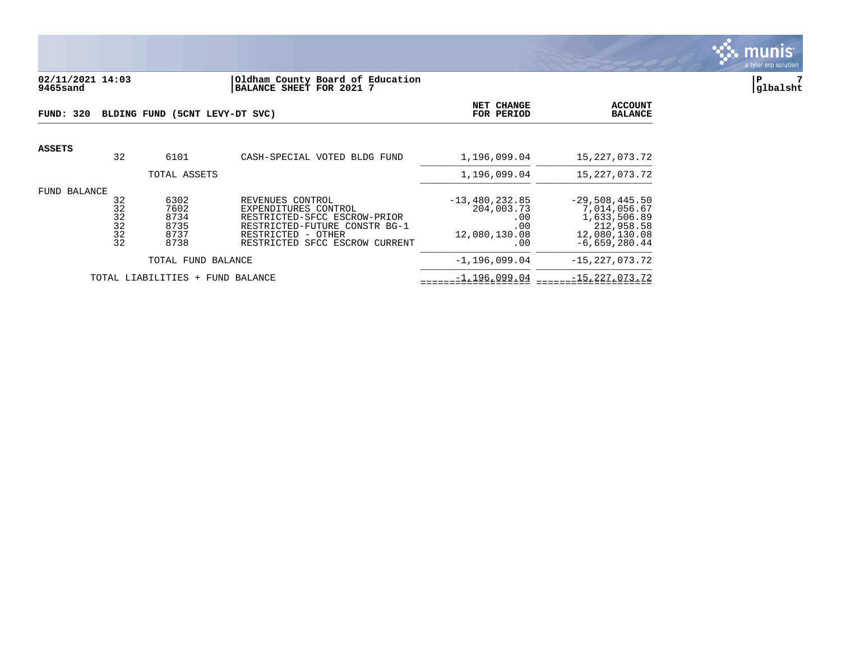

### **02/11/2021 14:03 |Oldham County Board of Education |P 7 9465sand |BALANCE SHEET FOR 2021 7 |glbalsht**

| FUND: 320 |                                             | BLDING FUND (5CNT LEVY-DT SVC)               | NET CHANGE<br>FOR PERIOD                                                                                                                                          | <b>ACCOUNT</b><br><b>BALANCE</b>                                     |                                                                                                    |
|-----------|---------------------------------------------|----------------------------------------------|-------------------------------------------------------------------------------------------------------------------------------------------------------------------|----------------------------------------------------------------------|----------------------------------------------------------------------------------------------------|
| ASSETS    | 32                                          | 6101                                         | CASH-SPECIAL VOTED BLDG FUND                                                                                                                                      | 1,196,099.04                                                         | 15,227,073.72                                                                                      |
|           |                                             | TOTAL ASSETS                                 |                                                                                                                                                                   | 1,196,099.04                                                         | 15, 227, 073. 72                                                                                   |
| FUND      | BALANCE<br>32<br>32<br>32<br>32<br>32<br>32 | 6302<br>7602<br>8734<br>8735<br>8737<br>8738 | REVENUES CONTROL<br>EXPENDITURES CONTROL<br>RESTRICTED-SFCC ESCROW-PRIOR<br>RESTRICTED-FUTURE CONSTR BG-1<br>RESTRICTED - OTHER<br>RESTRICTED SFCC ESCROW CURRENT | $-13,480,232.85$<br>204,003.73<br>.00<br>.00<br>12,080,130.08<br>.00 | $-29,508,445.50$<br>7,014,056.67<br>1,633,506.89<br>212,958.58<br>12,080,130.08<br>$-6,659,280.44$ |
|           |                                             | TOTAL FUND BALANCE                           |                                                                                                                                                                   | $-1, 196, 099.04$                                                    | $-15,227,073.72$                                                                                   |
|           |                                             | TOTAL LIABILITIES + FUND BALANCE             |                                                                                                                                                                   | $-1, 196, 099.04$                                                    | $-15,227,073.72$                                                                                   |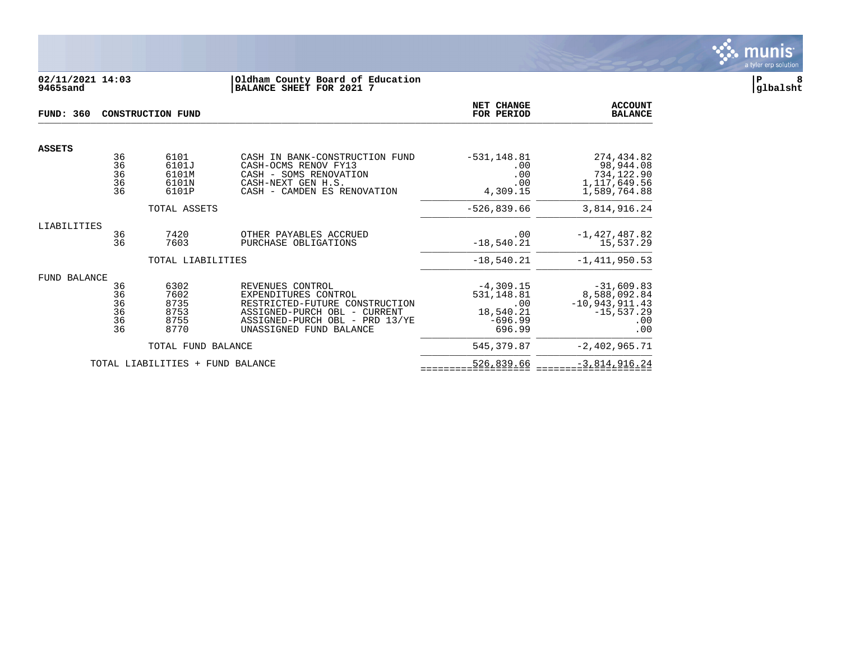

## **02/11/2021 14:03 |Oldham County Board of Education |P 8 9465sand |BALANCE SHEET FOR 2021 7 |glbalsht**

| <b>FUND: 360</b> |                                  | <b>CONSTRUCTION FUND</b>                     | NET CHANGE<br>FOR PERIOD                                                                                                                                                | <b>ACCOUNT</b><br><b>BALANCE</b>                                     |                                                                                 |
|------------------|----------------------------------|----------------------------------------------|-------------------------------------------------------------------------------------------------------------------------------------------------------------------------|----------------------------------------------------------------------|---------------------------------------------------------------------------------|
| <b>ASSETS</b>    |                                  |                                              |                                                                                                                                                                         |                                                                      |                                                                                 |
|                  | 36<br>36<br>36<br>36<br>36       | 6101<br>6101J<br>6101M<br>6101N<br>6101P     | CASH IN BANK-CONSTRUCTION FUND<br>CASH-OCMS RENOV FY13<br>CASH - SOMS RENOVATION<br>CASH-NEXT GEN H.S.<br>CASH - CAMDEN ES RENOVATION                                   | $-531, 148.81$<br>.00<br>.00<br>.00<br>4,309.15                      | 274,434.82<br>98,944.08<br>734,122.90<br>1, 117, 649.56<br>1,589,764.88         |
|                  |                                  | TOTAL ASSETS                                 |                                                                                                                                                                         | $-526,839.66$                                                        | 3,814,916.24                                                                    |
| LIABILITIES      | 36<br>36                         | 7420<br>7603                                 | OTHER PAYABLES ACCRUED<br>PURCHASE OBLIGATIONS                                                                                                                          | .00<br>$-18,540.21$                                                  | $-1,427,487.82$<br>15,537.29                                                    |
|                  |                                  | TOTAL LIABILITIES                            |                                                                                                                                                                         | $-18,540.21$                                                         | $-1, 411, 950.53$                                                               |
| FUND BALANCE     | 36<br>36<br>36<br>36<br>36<br>36 | 6302<br>7602<br>8735<br>8753<br>8755<br>8770 | REVENUES CONTROL<br>EXPENDITURES CONTROL<br>RESTRICTED-FUTURE CONSTRUCTION<br>ASSIGNED-PURCH OBL - CURRENT<br>ASSIGNED-PURCH OBL - PRD 13/YE<br>UNASSIGNED FUND BALANCE | $-4,309.15$<br>531,148.81<br>.00<br>18,540.21<br>$-696.99$<br>696.99 | $-31,609.83$<br>8,588,092.84<br>$-10,943,911.43$<br>$-15, 537.29$<br>.00<br>.00 |
|                  |                                  | TOTAL FUND BALANCE                           |                                                                                                                                                                         | 545, 379.87                                                          | $-2,402,965.71$                                                                 |
|                  |                                  | TOTAL LIABILITIES                            | + FUND BALANCE                                                                                                                                                          | 526,839.66                                                           | $-3,814,916.24$                                                                 |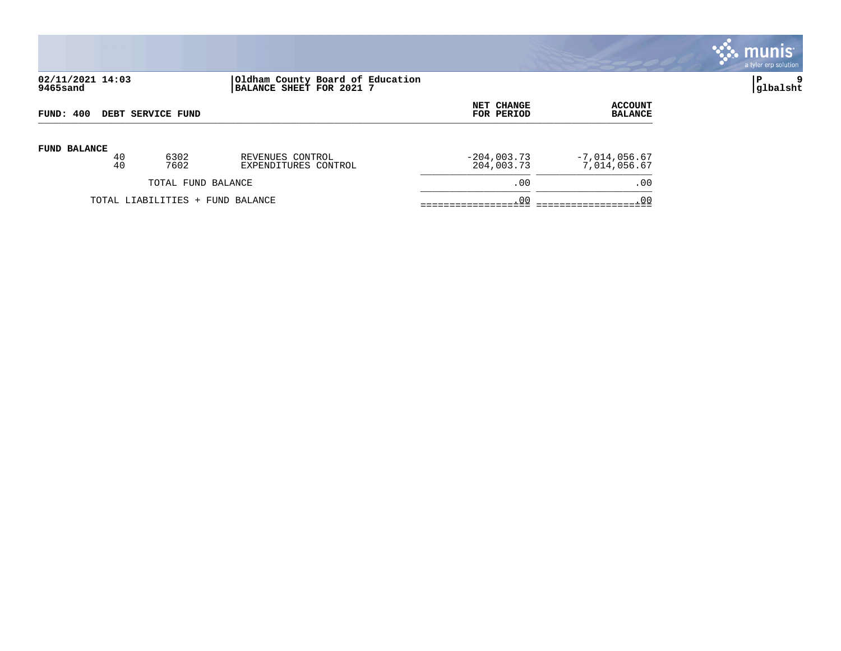

# **02/11/2021 14:03 |Oldham County Board of Education |P 9 9465sand |BALANCE SHEET FOR 2021 7 |glbalsht**

| FUND: 400                |                                  |                    |                      | NET CHANGE    | <b>ACCOUNT</b>  |
|--------------------------|----------------------------------|--------------------|----------------------|---------------|-----------------|
| <b>DEBT SERVICE FUND</b> |                                  |                    |                      | FOR PERIOD    | <b>BALANCE</b>  |
| <b>FUND BALANCE</b>      | 40                               | 6302               | REVENUES CONTROL     | $-204,003.73$ | $-7,014,056.67$ |
|                          | 40                               | 7602               | EXPENDITURES CONTROL | 204,003.73    | 7,014,056.67    |
|                          |                                  | TOTAL FUND BALANCE |                      | .00           | .00             |
|                          | TOTAL LIABILITIES + FUND BALANCE |                    |                      | .00           | .00             |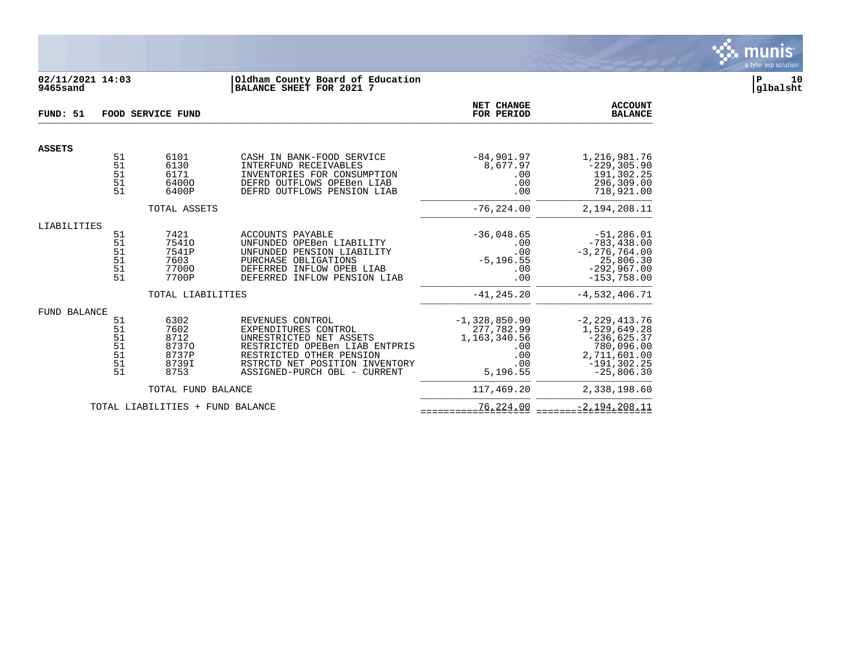

# **02/11/2021 14:03 |Oldham County Board of Education |P 10 9465sand |BALANCE SHEET FOR 2021 7 |glbalsht**

| FUND: 51<br>FOOD SERVICE FUND |                                        |                                                         |                                                                                                                                                                                                     | NET CHANGE<br>FOR PERIOD                                                         | <b>ACCOUNT</b><br><b>BALANCE</b>                                                                                   |
|-------------------------------|----------------------------------------|---------------------------------------------------------|-----------------------------------------------------------------------------------------------------------------------------------------------------------------------------------------------------|----------------------------------------------------------------------------------|--------------------------------------------------------------------------------------------------------------------|
| <b>ASSETS</b>                 |                                        |                                                         |                                                                                                                                                                                                     |                                                                                  |                                                                                                                    |
|                               | 51<br>51<br>51<br>51<br>51             | 6101<br>6130<br>6171<br>64000<br>6400P                  | CASH IN BANK-FOOD SERVICE<br>INTERFUND RECEIVABLES<br>INVENTORIES FOR CONSUMPTION<br>DEFRD OUTFLOWS OPEBen LIAB<br>DEFRD OUTFLOWS PENSION LIAB                                                      | $-84,901.97$<br>8,677.97<br>.00<br>.00<br>.00                                    | 1,216,981.76<br>$-229, 305.90$<br>191,302.25<br>296,309.00<br>718,921.00                                           |
|                               |                                        | TOTAL ASSETS                                            |                                                                                                                                                                                                     | $-76, 224.00$                                                                    | 2,194,208.11                                                                                                       |
| LIABILITIES                   |                                        |                                                         |                                                                                                                                                                                                     |                                                                                  |                                                                                                                    |
|                               | 51<br>51<br>51<br>51<br>51<br>51       | 7421<br>75410<br>7541P<br>7603<br>77000<br>7700P        | ACCOUNTS PAYABLE<br>UNFUNDED OPEBen LIABILITY<br>UNFUNDED PENSION LIABILITY<br>PURCHASE OBLIGATIONS<br>DEFERRED INFLOW OPEB LIAB<br>DEFERRED INFLOW PENSION LIAB                                    | $-36,048.65$<br>.00<br>.00<br>$-5, 196.55$<br>.00<br>.00                         | $-51, 286.01$<br>$-783, 438.00$<br>$-3, 276, 764.00$<br>25,806.30<br>$-292,967.00$<br>$-153,758.00$                |
|                               |                                        | TOTAL LIABILITIES                                       |                                                                                                                                                                                                     | $-41, 245.20$                                                                    | $-4,532,406.71$                                                                                                    |
| FUND BALANCE                  | 51<br>51<br>51<br>51<br>51<br>51<br>51 | 6302<br>7602<br>8712<br>87370<br>8737P<br>8739I<br>8753 | REVENUES CONTROL<br>EXPENDITURES CONTROL<br>UNRESTRICTED NET ASSETS<br>RESTRICTED OPEBen LIAB ENTPRIS<br>RESTRICTED OTHER PENSION<br>RSTRCTD NET POSITION INVENTORY<br>ASSIGNED-PURCH OBL - CURRENT | $-1,328,850.90$<br>277,782.99<br>1, 163, 340.56<br>.00<br>.00<br>.00<br>5,196.55 | $-2, 229, 413.76$<br>1,529,649.28<br>$-236,625.37$<br>780,096.00<br>2,711,601.00<br>$-191, 302.25$<br>$-25,806.30$ |
|                               |                                        | TOTAL FUND BALANCE                                      |                                                                                                                                                                                                     | 117,469.20                                                                       | 2,338,198.60                                                                                                       |
|                               |                                        | TOTAL LIABILITIES + FUND BALANCE                        |                                                                                                                                                                                                     | 76,224.00                                                                        | $-2,194,208.11$                                                                                                    |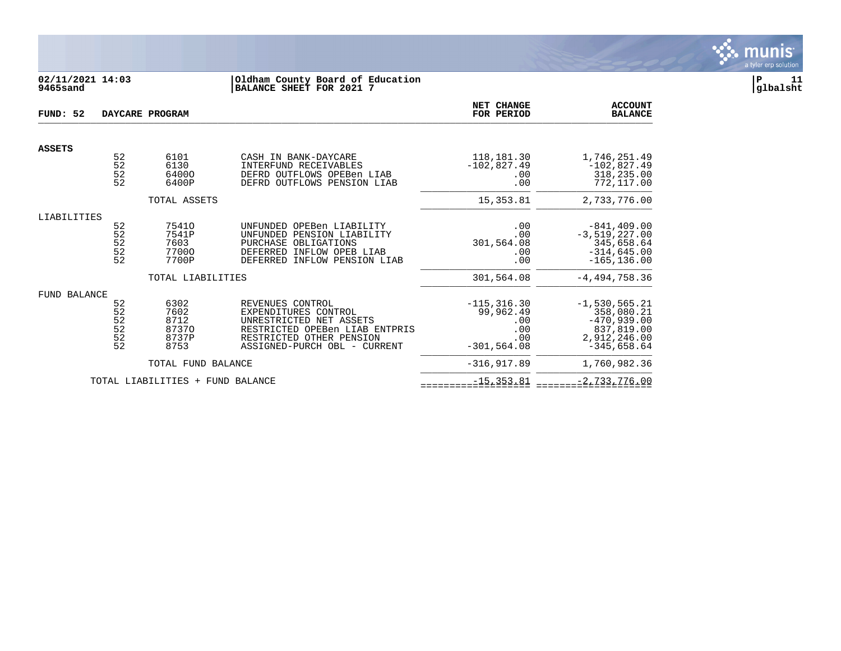

# **02/11/2021 14:03 |Oldham County Board of Education |P 11 9465sand |BALANCE SHEET FOR 2021 7 |glbalsht**

| FUND: 52            |                                  | DAYCARE PROGRAM                                |                                                                                                                                                                   | NET CHANGE<br>FOR PERIOD                                           | <b>ACCOUNT</b><br><b>BALANCE</b>                                                              |
|---------------------|----------------------------------|------------------------------------------------|-------------------------------------------------------------------------------------------------------------------------------------------------------------------|--------------------------------------------------------------------|-----------------------------------------------------------------------------------------------|
| <b>ASSETS</b>       |                                  |                                                |                                                                                                                                                                   |                                                                    |                                                                                               |
|                     | 52<br>52<br>52<br>52             | 6101<br>6130<br>64000<br>6400P                 | CASH IN BANK-DAYCARE<br>INTERFUND RECEIVABLES<br>DEFRD OUTFLOWS OPEBen LIAB<br>DEFRD OUTFLOWS PENSION LIAB                                                        | 118,181.30<br>$-102,827.49$<br>.00<br>.00                          | 1,746,251.49<br>$-102,827.49$<br>318,235.00<br>772,117.00                                     |
|                     |                                  | TOTAL ASSETS                                   |                                                                                                                                                                   | 15, 353.81                                                         | 2,733,776.00                                                                                  |
| LIABILITIES         |                                  |                                                |                                                                                                                                                                   |                                                                    |                                                                                               |
|                     | 52<br>52<br>52<br>52<br>52       | 75410<br>7541P<br>7603<br>77000<br>7700P       | UNFUNDED OPEBen LIABILITY<br>UNFUNDED PENSION LIABILITY<br>PURCHASE OBLIGATIONS<br>DEFERRED INFLOW OPEB LIAB<br>DEFERRED INFLOW PENSION LIAB                      | .00<br>.00<br>301,564.08<br>.00<br>.00                             | $-841, 409.00$<br>$-3,519,227.00$<br>345,658.64<br>$-314,645.00$<br>$-165, 136.00$            |
|                     |                                  | TOTAL LIABILITIES                              |                                                                                                                                                                   | 301,564.08                                                         | $-4, 494, 758.36$                                                                             |
| <b>FUND BALANCE</b> | 52<br>52<br>52<br>52<br>52<br>52 | 6302<br>7602<br>8712<br>87370<br>8737P<br>8753 | REVENUES CONTROL<br>EXPENDITURES CONTROL<br>UNRESTRICTED NET ASSETS<br>RESTRICTED OPEBen LIAB ENTPRIS<br>RESTRICTED OTHER PENSION<br>ASSIGNED-PURCH OBL - CURRENT | $-115, 316.30$<br>99,962.49<br>.00<br>.00<br>.00<br>$-301, 564.08$ | $-1,530,565.21$<br>358,080.21<br>$-470,939.00$<br>837,819.00<br>2,912,246.00<br>$-345,658.64$ |
|                     |                                  | TOTAL FUND BALANCE                             |                                                                                                                                                                   | $-316, 917.89$                                                     | 1,760,982.36                                                                                  |
|                     |                                  | TOTAL LIABILITIES + FUND BALANCE               |                                                                                                                                                                   | $-15, 353.81$                                                      | $-2,733,776.00$                                                                               |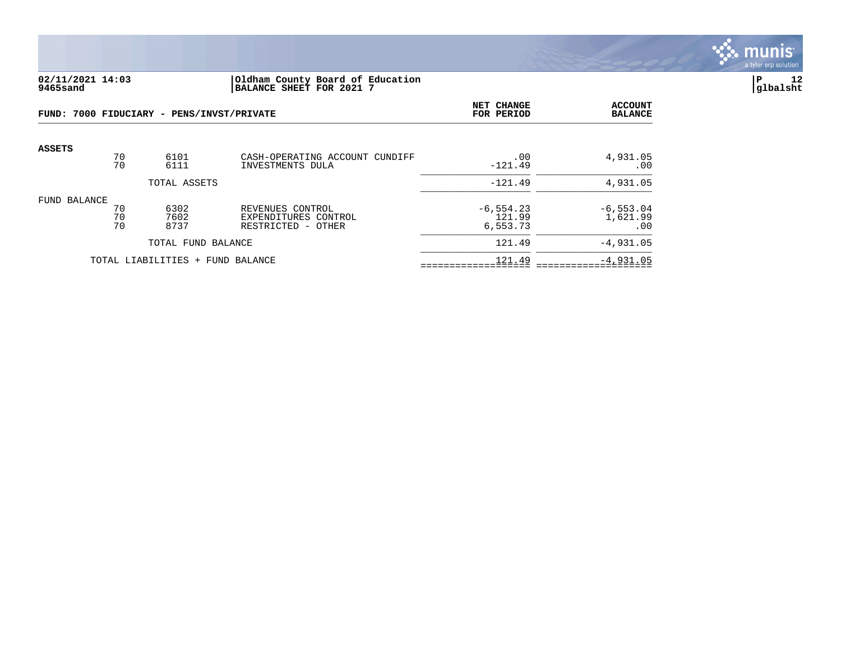

### **02/11/2021 14:03 |Oldham County Board of Education |P 12 9465sand |BALANCE SHEET FOR 2021 7 |glbalsht**

| FUND: 7000 FIDUCIARY - PENS/INVST/PRIVATE |                                  |                      | NET CHANGE<br>FOR PERIOD                                       | <b>ACCOUNT</b><br><b>BALANCE</b>   |                                 |
|-------------------------------------------|----------------------------------|----------------------|----------------------------------------------------------------|------------------------------------|---------------------------------|
| <b>ASSETS</b>                             | 70<br>70                         | 6101<br>6111         | CASH-OPERATING ACCOUNT CUNDIFF<br>INVESTMENTS DULA             | .00<br>$-121.49$                   | 4,931.05<br>.00                 |
|                                           |                                  | TOTAL ASSETS         |                                                                | $-121.49$                          | 4,931.05                        |
| FUND BALANCE                              | 70<br>70<br>70                   | 6302<br>7602<br>8737 | REVENUES CONTROL<br>EXPENDITURES CONTROL<br>RESTRICTED - OTHER | $-6, 554.23$<br>121.99<br>6,553.73 | $-6, 553.04$<br>1,621.99<br>.00 |
| TOTAL FUND BALANCE                        |                                  |                      | 121.49                                                         | $-4,931.05$                        |                                 |
|                                           | TOTAL LIABILITIES + FUND BALANCE |                      |                                                                | 121.49                             | $-4,931.05$                     |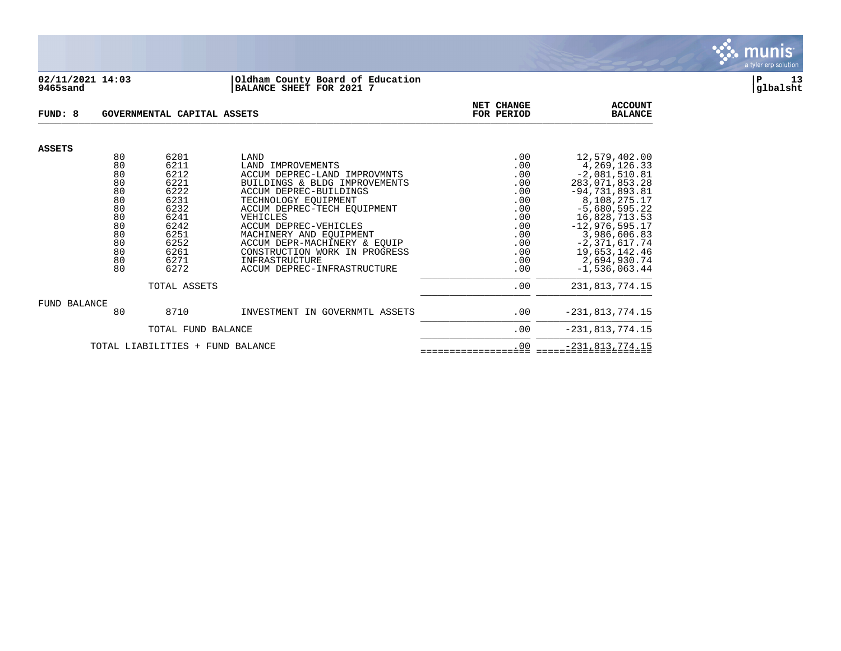

#### **02/11/2021 14:03 |Oldham County Board of Education |P 13 9465sand |BALANCE SHEET FOR 2021 7 |glbalsht**

| FUND: 8                          |          | GOVERNMENTAL CAPITAL ASSETS | NET CHANGE<br>FOR PERIOD                                      | <b>ACCOUNT</b><br><b>BALANCE</b> |                                   |
|----------------------------------|----------|-----------------------------|---------------------------------------------------------------|----------------------------------|-----------------------------------|
| <b>ASSETS</b>                    |          |                             |                                                               |                                  |                                   |
|                                  | 80       | 6201                        | LAND                                                          | .00                              | 12,579,402.00                     |
|                                  | 80<br>80 | 6211<br>6212                | LAND IMPROVEMENTS                                             | .00                              | 4, 269, 126. 33                   |
|                                  | 80       | 6221                        | ACCUM DEPREC-LAND IMPROVMNTS<br>BUILDINGS & BLDG IMPROVEMENTS | .00<br>.00                       | $-2,081,510.81$<br>283,071,853.28 |
|                                  | 80       | 6222                        | ACCUM DEPREC-BUILDINGS                                        | .00                              | $-94,731,893.81$                  |
|                                  | 80       | 6231                        | TECHNOLOGY EOUIPMENT                                          | .00                              | 8,108,275.17                      |
|                                  | 80       | 6232                        | ACCUM DEPREC-TECH EOUIPMENT                                   | .00                              | $-5,680,595.22$                   |
|                                  | 80       | 6241                        | VEHICLES                                                      | .00                              | 16,828,713.53                     |
|                                  | 80       | 6242                        | ACCUM DEPREC-VEHICLES                                         | .00                              | $-12,976,595.17$                  |
|                                  | 80       | 6251                        | MACHINERY AND EQUIPMENT                                       | .00                              | 3,986,606.83                      |
|                                  | 80       | 6252                        | ACCUM DEPR-MACHINERY & EQUIP                                  | .00                              | $-2,371,617.74$                   |
|                                  | 80       | 6261                        | CONSTRUCTION WORK IN PROGRESS                                 | .00                              | 19,653,142.46                     |
|                                  | 80       | 6271                        | INFRASTRUCTURE                                                | .00                              | 2,694,930.74                      |
|                                  | 80       | 6272                        | ACCUM DEPREC-INFRASTRUCTURE                                   | .00                              | $-1,536,063.44$                   |
|                                  |          | TOTAL ASSETS                | .00                                                           | 231,813,774.15                   |                                   |
| FUND BALANCE                     |          |                             |                                                               |                                  |                                   |
|                                  | 80       | 8710                        | INVESTMENT IN GOVERNMTL ASSETS                                | .00                              | $-231, 813, 774.15$               |
|                                  |          | TOTAL FUND BALANCE          | .00                                                           | $-231, 813, 774.15$              |                                   |
| TOTAL LIABILITIES + FUND BALANCE |          |                             |                                                               | .00                              | $-231, 813, 774.15$               |